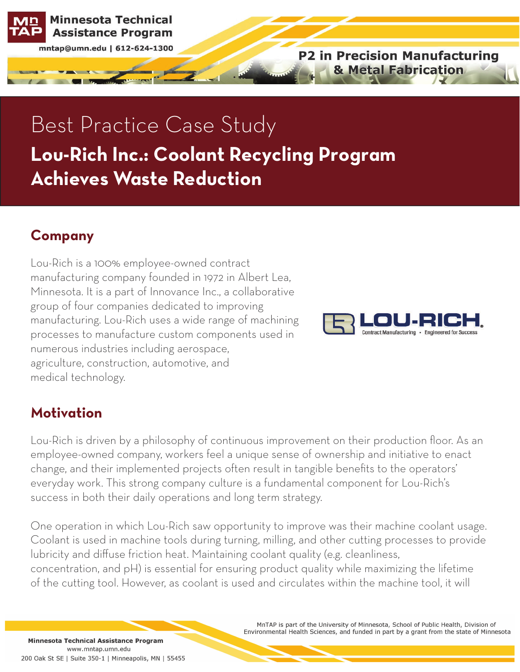

mntap@umn.edu | 612-624-1300

**P2 in Precision Manufacturing & Metal Fabrication** 

# Best Practice Case Study **Lou-Rich Inc.: Coolant Recycling Program Achieves Waste Reduction**

## **Company**

Lou-Rich is a 100% employee-owned contract manufacturing company founded in 1972 in Albert Lea, Minnesota. It is a part of Innovance Inc., a collaborative group of four companies dedicated to improving manufacturing. Lou-Rich uses a wide range of machining processes to manufacture custom components used in numerous industries including aerospace, agriculture, construction, automotive, and medical technology.



#### **Motivation**

Lou-Rich is driven by a philosophy of continuous improvement on their production floor. As an employee-owned company, workers feel a unique sense of ownership and initiative to enact change, and their implemented projects often result in tangible benefits to the operators' everyday work. This strong company culture is a fundamental component for Lou-Rich's success in both their daily operations and long term strategy.

One operation in which Lou-Rich saw opportunity to improve was their machine coolant usage. Coolant is used in machine tools during turning, milling, and other cutting processes to provide lubricity and diffuse friction heat. Maintaining coolant quality (e.g. cleanliness, concentration, and pH) is essential for ensuring product quality while maximizing the lifetime of the cutting tool. However, as coolant is used and circulates within the machine tool, it will

> MnTAP is part of the University of Minnesota, School of Public Health, Division of Environmental Health Sciences, and funded in part by a grant from the state of Minnesota

Minnesota Technical Assistance Program www.mntap.umn.edu 200 Oak St SE | Suite 350-1 | Minneapolis, MN | 55455